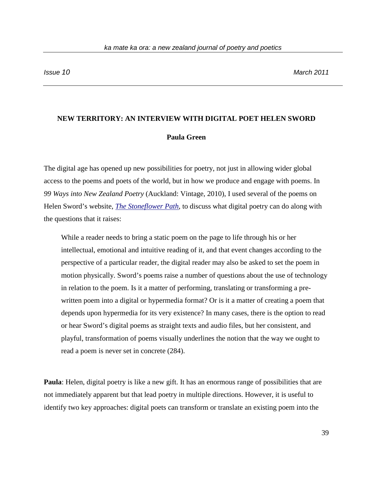## **NEW TERRITORY: AN INTERVIEW WITH DIGITAL POET HELEN SWORD**

## **Paula Green**

The digital age has opened up new possibilities for poetry, not just in allowing wider global access to the poems and poets of the world, but in how we produce and engage with poems. In *99 Ways into New Zealand Poetry* (Auckland: Vintage, 2010), I used several of the poems on Helen Sword's website, *[The Stoneflower Path](http://stoneflowerpath.com/index.htm)*, to discuss what digital poetry can do along with the questions that it raises:

While a reader needs to bring a static poem on the page to life through his or her intellectual, emotional and intuitive reading of it, and that event changes according to the perspective of a particular reader, the digital reader may also be asked to set the poem in motion physically. Sword's poems raise a number of questions about the use of technology in relation to the poem. Is it a matter of performing, translating or transforming a prewritten poem into a digital or hypermedia format? Or is it a matter of creating a poem that depends upon hypermedia for its very existence? In many cases, there is the option to read or hear Sword's digital poems as straight texts and audio files, but her consistent, and playful, transformation of poems visually underlines the notion that the way we ought to read a poem is never set in concrete (284).

**Paula**: Helen, digital poetry is like a new gift. It has an enormous range of possibilities that are not immediately apparent but that lead poetry in multiple directions. However, it is useful to identify two key approaches: digital poets can transform or translate an existing poem into the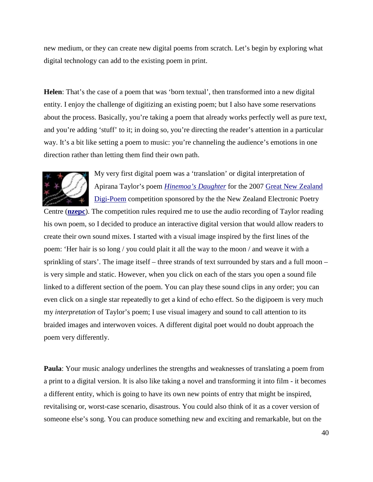new medium, or they can create new digital poems from scratch. Let's begin by exploring what digital technology can add to the existing poem in print.

**Helen**: That's the case of a poem that was 'born textual', then transformed into a new digital entity. I enjoy the challenge of digitizing an existing poem; but I also have some reservations about the process. Basically, you're taking a poem that already works perfectly well as pure text, and you're adding 'stuff' to it; in doing so, you're directing the reader's attention in a particular way. It's a bit like setting a poem to music: you're channeling the audience's emotions in one direction rather than letting them find their own path.



My very first digital poem was a 'translation' or digital interpretation of Apirana Taylor's poem *[Hinemoa's Daughter](http://www.nzepc.auckland.ac.nz/digital/media/02_Sword_Hinemoas_Daughter.htm)* for the 2007 [Great New Zealand](http://www.nzepc.auckland.ac.nz/digital/contest07.asp)  [Digi-Poem](http://www.nzepc.auckland.ac.nz/digital/contest07.asp) competition sponsored by the the New Zealand Electronic Poetry

Centre (**[nzepc](http://www.nzepc.auckland.ac.nz/)**). The competition rules required me to use the audio recording of Taylor reading his own poem, so I decided to produce an interactive digital version that would allow readers to create their own sound mixes. I started with a visual image inspired by the first lines of the poem: 'Her hair is so long / you could plait it all the way to the moon / and weave it with a sprinkling of stars'. The image itself – three strands of text surrounded by stars and a full moon – is very simple and static. However, when you click on each of the stars you open a sound file linked to a different section of the poem. You can play these sound clips in any order; you can even click on a single star repeatedly to get a kind of echo effect. So the digipoem is very much my *interpretation* of Taylor's poem; I use visual imagery and sound to call attention to its braided images and interwoven voices. A different digital poet would no doubt approach the poem very differently.

**Paula**: Your music analogy underlines the strengths and weaknesses of translating a poem from a print to a digital version. It is also like taking a novel and transforming it into film - it becomes a different entity, which is going to have its own new points of entry that might be inspired, revitalising or, worst-case scenario, disastrous. You could also think of it as a cover version of someone else's song. You can produce something new and exciting and remarkable, but on the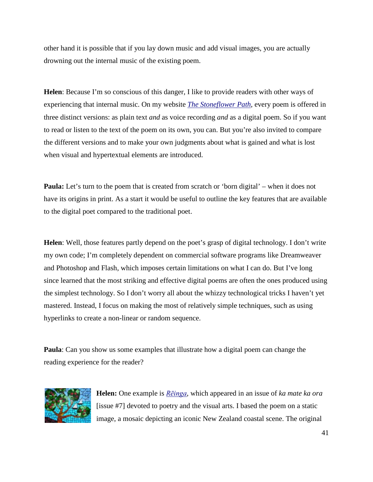other hand it is possible that if you lay down music and add visual images, you are actually drowning out the internal music of the existing poem.

**Helen**: Because I'm so conscious of this danger, I like to provide readers with other ways of experiencing that internal music. On my website *[The Stoneflower Path](http://stoneflowerpath.com/index.htm)*, every poem is offered in three distinct versions: as plain text *and* as voice recording *and* as a digital poem. So if you want to read or listen to the text of the poem on its own, you can. But you're also invited to compare the different versions and to make your own judgments about what is gained and what is lost when visual and hypertextual elements are introduced.

**Paula:** Let's turn to the poem that is created from scratch or 'born digital' – when it does not have its origins in print. As a start it would be useful to outline the key features that are available to the digital poet compared to the traditional poet.

**Helen**: Well, those features partly depend on the poet's grasp of digital technology. I don't write my own code; I'm completely dependent on commercial software programs like Dreamweaver and Photoshop and Flash, which imposes certain limitations on what I can do. But I've long since learned that the most striking and effective digital poems are often the ones produced using the simplest technology. So I don't worry all about the whizzy technological tricks I haven't yet mastered. Instead, I focus on making the most of relatively simple techniques, such as using hyperlinks to create a non-linear or random sequence.

**Paula**: Can you show us some examples that illustrate how a digital poem can change the reading experience for the reader?



**Helen:** One example is *[Rēinga](http://www.nzepc.auckland.ac.nz/kmko/07/ka_mate07_sword.asp),* which appeared in an issue of *ka mate ka ora*  [issue #7] devoted to poetry and the visual arts. I based the poem on a static image, a mosaic depicting an iconic New Zealand coastal scene. The original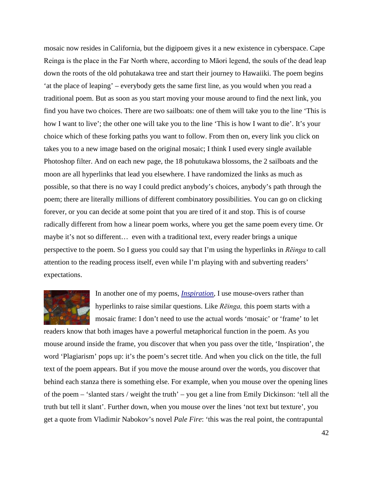mosaic now resides in California, but the digipoem gives it a new existence in cyberspace. Cape Reinga is the place in the Far North where, according to Māori legend, the souls of the dead leap down the roots of the old pohutakawa tree and start their journey to Hawaiiki. The poem begins 'at the place of leaping' – everybody gets the same first line, as you would when you read a traditional poem. But as soon as you start moving your mouse around to find the next link, you find you have two choices. There are two sailboats: one of them will take you to the line 'This is how I want to live'; the other one will take you to the line 'This is how I want to die'. It's your choice which of these forking paths you want to follow. From then on, every link you click on takes you to a new image based on the original mosaic; I think I used every single available Photoshop filter. And on each new page, the 18 pohutukawa blossoms, the 2 sailboats and the moon are all hyperlinks that lead you elsewhere. I have randomized the links as much as possible, so that there is no way I could predict anybody's choices, anybody's path through the poem; there are literally millions of different combinatory possibilities. You can go on clicking forever, or you can decide at some point that you are tired of it and stop. This is of course radically different from how a linear poem works, where you get the same poem every time. Or maybe it's not so different… even with a traditional text, every reader brings a unique perspective to the poem. So I guess you could say that I'm using the hyperlinks in *Rēinga* to call attention to the reading process itself, even while I'm playing with and subverting readers' expectations.



In another one of my poems, *[Inspiration](http://stoneflowerpath.com/inspiration/index.htm)*, I use mouse-overs rather than hyperlinks to raise similar questions. Like *Rēinga,* this poem starts with a mosaic frame: I don't need to use the actual words 'mosaic' or 'frame' to let

readers know that both images have a powerful metaphorical function in the poem. As you mouse around inside the frame, you discover that when you pass over the title, 'Inspiration', the word 'Plagiarism' pops up: it's the poem's secret title. And when you click on the title, the full text of the poem appears. But if you move the mouse around over the words, you discover that behind each stanza there is something else. For example, when you mouse over the opening lines of the poem – 'slanted stars / weight the truth' – you get a line from Emily Dickinson: 'tell all the truth but tell it slant'. Further down, when you mouse over the lines 'not text but texture'*,* you get a quote from Vladimir Nabokov's novel *Pale Fire*: 'this was the real point, the contrapuntal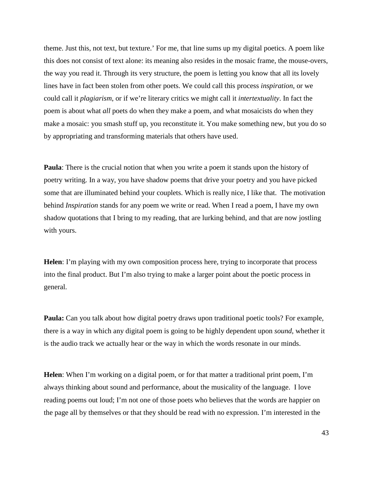theme. Just this, not text, but texture.' For me, that line sums up my digital poetics. A poem like this does not consist of text alone: its meaning also resides in the mosaic frame, the mouse-overs, the way you read it. Through its very structure, the poem is letting you know that all its lovely lines have in fact been stolen from other poets. We could call this process *inspiration*, or we could call it *plagiarism*, or if we're literary critics we might call it *intertextuality*. In fact the poem is about what *all* poets do when they make a poem, and what mosaicists do when they make a mosaic: you smash stuff up, you reconstitute it. You make something new, but you do so by appropriating and transforming materials that others have used.

**Paula**: There is the crucial notion that when you write a poem it stands upon the history of poetry writing. In a way, you have shadow poems that drive your poetry and you have picked some that are illuminated behind your couplets. Which is really nice, I like that. The motivation behind *Inspiration* stands for any poem we write or read. When I read a poem, I have my own shadow quotations that I bring to my reading, that are lurking behind, and that are now jostling with yours.

**Helen**: I'm playing with my own composition process here, trying to incorporate that process into the final product. But I'm also trying to make a larger point about the poetic process in general.

**Paula:** Can you talk about how digital poetry draws upon traditional poetic tools? For example, there is a way in which any digital poem is going to be highly dependent upon *sound*, whether it is the audio track we actually hear or the way in which the words resonate in our minds.

**Helen**: When I'm working on a digital poem, or for that matter a traditional print poem, I'm always thinking about sound and performance, about the musicality of the language. I love reading poems out loud; I'm not one of those poets who believes that the words are happier on the page all by themselves or that they should be read with no expression. I'm interested in the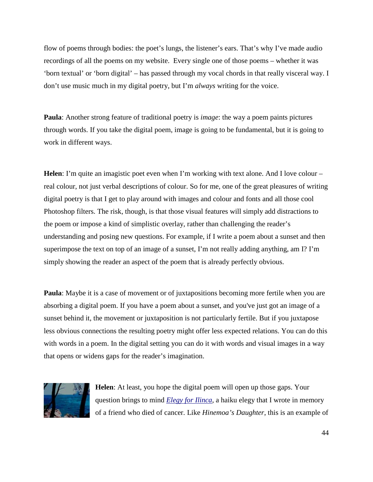flow of poems through bodies: the poet's lungs, the listener's ears. That's why I've made audio recordings of all the poems on my website. Every single one of those poems – whether it was 'born textual' or 'born digital' – has passed through my vocal chords in that really visceral way. I don't use music much in my digital poetry, but I'm *always* writing for the voice.

**Paula**: Another strong feature of traditional poetry is *image*: the way a poem paints pictures through words. If you take the digital poem, image is going to be fundamental, but it is going to work in different ways.

**Helen**: I'm quite an imagistic poet even when I'm working with text alone. And I love colour – real colour, not just verbal descriptions of colour. So for me, one of the great pleasures of writing digital poetry is that I get to play around with images and colour and fonts and all those cool Photoshop filters. The risk, though, is that those visual features will simply add distractions to the poem or impose a kind of simplistic overlay, rather than challenging the reader's understanding and posing new questions. For example, if I write a poem about a sunset and then superimpose the text on top of an image of a sunset, I'm not really adding anything, am I? I'm simply showing the reader an aspect of the poem that is already perfectly obvious.

**Paula**: Maybe it is a case of movement or of juxtapositions becoming more fertile when you are absorbing a digital poem. If you have a poem about a sunset, and you've just got an image of a sunset behind it, the movement or juxtaposition is not particularly fertile. But if you juxtapose less obvious connections the resulting poetry might offer less expected relations. You can do this with words in a poem. In the digital setting you can do it with words and visual images in a way that opens or widens gaps for the reader's imagination.



**Helen**: At least, you hope the digital poem will open up those gaps. Your question brings to mind *[Elegy for Ilinca](http://stoneflowerpath.com/ilinca/index.htm)*, a haiku elegy that I wrote in memory of a friend who died of cancer. Like *Hinemoa's Daughter*, this is an example of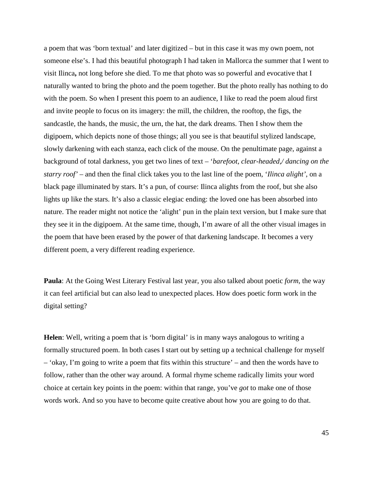a poem that was 'born textual' and later digitized – but in this case it was my own poem, not someone else's. I had this beautiful photograph I had taken in Mallorca the summer that I went to visit Ilinca**,** not long before she died. To me that photo was so powerful and evocative that I naturally wanted to bring the photo and the poem together. But the photo really has nothing to do with the poem. So when I present this poem to an audience, I like to read the poem aloud first and invite people to focus on its imagery: the mill, the children, the rooftop, the figs, the sandcastle, the hands, the music, the urn, the hat, the dark dreams. Then I show them the digipoem, which depicts none of those things; all you see is that beautiful stylized landscape, slowly darkening with each stanza, each click of the mouse. On the penultimate page, against a background of total darkness, you get two lines of text – '*barefoot, clear-headed,/ dancing on the starry roof'* – and then the final click takes you to the last line of the poem, '*Ilinca alight'*, on a black page illuminated by stars. It's a pun, of course: Ilinca alights from the roof, but she also lights up like the stars. It's also a classic elegiac ending: the loved one has been absorbed into nature. The reader might not notice the 'alight' pun in the plain text version, but I make sure that they see it in the digipoem. At the same time, though, I'm aware of all the other visual images in the poem that have been erased by the power of that darkening landscape. It becomes a very different poem, a very different reading experience.

**Paula**: At the Going West Literary Festival last year, you also talked about poetic *form*, the way it can feel artificial but can also lead to unexpected places. How does poetic form work in the digital setting?

**Helen**: Well, writing a poem that is 'born digital' is in many ways analogous to writing a formally structured poem. In both cases I start out by setting up a technical challenge for myself – 'okay, I'm going to write a poem that fits within this structure' – and then the words have to follow, rather than the other way around. A formal rhyme scheme radically limits your word choice at certain key points in the poem: within that range, you've *got* to make one of those words work. And so you have to become quite creative about how you are going to do that.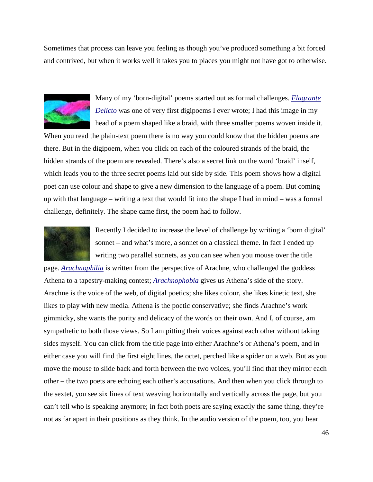Sometimes that process can leave you feeling as though you've produced something a bit forced and contrived, but when it works well it takes you to places you might not have got to otherwise.



Many of my 'born-digital' poems started out as formal challenges. *[Flagrante](http://stoneflowerpath.com/flagrantedelicto/index.htm)  [Delicto](http://stoneflowerpath.com/flagrantedelicto/index.htm)* was one of very first digipoems I ever wrote; I had this image in my head of a poem shaped like a braid, with three smaller poems woven inside it.

When you read the plain-text poem there is no way you could know that the hidden poems are there. But in the digipoem, when you click on each of the coloured strands of the braid, the hidden strands of the poem are revealed. There's also a secret link on the word 'braid' inself, which leads you to the three secret poems laid out side by side. This poem shows how a digital poet can use colour and shape to give a new dimension to the language of a poem. But coming up with that language – writing a text that would fit into the shape I had in mind – was a formal challenge, definitely. The shape came first, the poem had to follow.



Recently I decided to increase the level of challenge by writing a 'born digital' sonnet – and what's more, a sonnet on a classical theme. In fact I ended up writing two parallel sonnets, as you can see when you mouse over the title

page. *[Arachnophilia](http://stoneflowerpath.com/arachne/index.htm)* is written from the perspective of Arachne, who challenged the goddess Athena to a tapestry-making contest; *[Arachnophobia](http://stoneflowerpath.com/arachne/index.htm)* gives us Athena's side of the story. Arachne is the voice of the web, of digital poetics; she likes colour, she likes kinetic text, she likes to play with new media. Athena is the poetic conservative; she finds Arachne's work gimmicky, she wants the purity and delicacy of the words on their own. And I, of course, am sympathetic to both those views. So I am pitting their voices against each other without taking sides myself. You can click from the title page into either Arachne's or Athena's poem, and in either case you will find the first eight lines, the octet, perched like a spider on a web. But as you move the mouse to slide back and forth between the two voices, you'll find that they mirror each other – the two poets are echoing each other's accusations. And then when you click through to the sextet, you see six lines of text weaving horizontally and vertically across the page, but you can't tell who is speaking anymore; in fact both poets are saying exactly the same thing, they're not as far apart in their positions as they think. In the audio version of the poem, too, you hear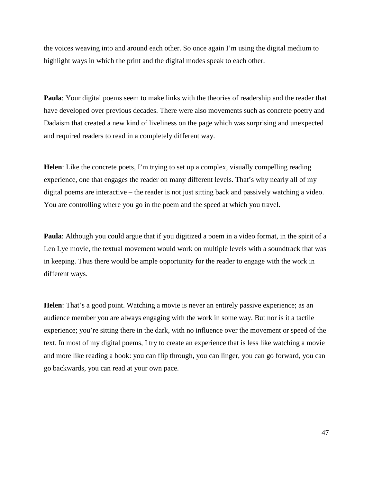the voices weaving into and around each other. So once again I'm using the digital medium to highlight ways in which the print and the digital modes speak to each other.

**Paula**: Your digital poems seem to make links with the theories of readership and the reader that have developed over previous decades. There were also movements such as concrete poetry and Dadaism that created a new kind of liveliness on the page which was surprising and unexpected and required readers to read in a completely different way.

**Helen**: Like the concrete poets, I'm trying to set up a complex, visually compelling reading experience, one that engages the reader on many different levels. That's why nearly all of my digital poems are interactive – the reader is not just sitting back and passively watching a video. You are controlling where you go in the poem and the speed at which you travel.

**Paula**: Although you could argue that if you digitized a poem in a video format, in the spirit of a Len Lye movie, the textual movement would work on multiple levels with a soundtrack that was in keeping. Thus there would be ample opportunity for the reader to engage with the work in different ways.

**Helen**: That's a good point. Watching a movie is never an entirely passive experience; as an audience member you are always engaging with the work in some way. But nor is it a tactile experience; you're sitting there in the dark, with no influence over the movement or speed of the text. In most of my digital poems, I try to create an experience that is less like watching a movie and more like reading a book: you can flip through, you can linger, you can go forward, you can go backwards, you can read at your own pace.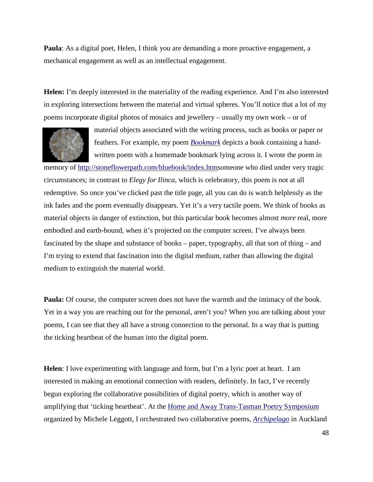**Paula**: As a digital poet, Helen, I think you are demanding a more proactive engagement, a mechanical engagement as well as an intellectual engagement.

**Helen:** I'm deeply interested in the materiality of the reading experience. And I'm also interested in exploring intersections between the material and virtual spheres. You'll notice that a lot of my poems incorporate digital photos of mosaics and jewellery – usually my own work – or of



material objects associated with the writing process, such as books or paper or feathers. For example, my poem *[Bookmark](http://stoneflowerpath.com/bluebook/index.htm)* depicts a book containing a handwritten poem with a homemade bookmark lying across it. I wrote the poem in

memory of [http://stoneflowerpath.com/bluebook/index.htms](http://stoneflowerpath.com/bluebook/index.htm)omeone who died under very tragic circumstances; in contrast to *Elegy for Ilinca*, which is celebratory, this poem is not at all redemptive. So once you've clicked past the title page, all you can do is watch helplessly as the ink fades and the poem eventually disappears. Yet it's a very tactile poem. We think of books as material objects in danger of extinction, but this particular book becomes almost *more* real, more embodied and earth-bound, when it's projected on the computer screen. I've always been fascinated by the shape and substance of books – paper, typography, all that sort of thing – and I'm trying to extend that fascination into the digital medium, rather than allowing the digital medium to extinguish the material world.

**Paula:** Of course, the computer screen does not have the warmth and the intimacy of the book. Yet in a way you are reaching out for the personal, aren't you? When you are talking about your poems, I can see that they all have a strong connection to the personal. In a way that is putting the ticking heartbeat of the human into the digital poem.

**Helen**: I love experimenting with language and form, but I'm a lyric poet at heart. I am interested in making an emotional connection with readers, definitely. In fact, I've recently begun exploring the collaborative possibilities of digital poetry, which is another way of amplifying that 'ticking heartbeat'. At the [Home and Away Trans-Tasman Poetry Symposium](http://www.nzepc.auckland.ac.nz/features/home&away/index.asp) organized by Michele Leggott, I orchestrated two collaborative poems, *[Archipelago](http://www.nzepc.auckland.ac.nz/features/home&away/archipelago.asp)* in Auckland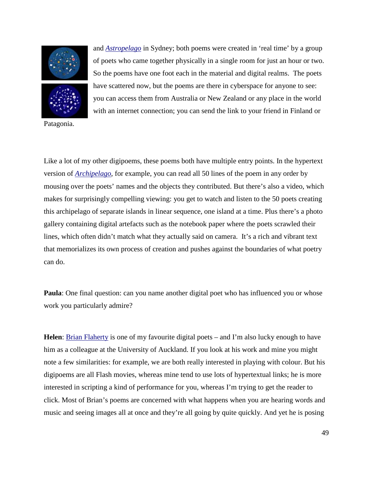



Patagonia.

and *[Astropelago](http://www.nzepc.auckland.ac.nz/features/home&away/astropelago.asp)* in Sydney; both poems were created in 'real time' by a group of poets who came together physically in a single room for just an hour or two. So the poems have one foot each in the material and digital realms. The poets have scattered now, but the poems are there in cyberspace for anyone to see: you can access them from Australia or New Zealand or any place in the world with an internet connection; you can send the link to your friend in Finland or

Like a lot of my other digipoems, these poems both have multiple entry points. In the hypertext version of *[Archipelago](http://www.nzepc.auckland.ac.nz/features/home&away/archipelago.asp)*, for example, you can read all 50 lines of the poem in any order by mousing over the poets' names and the objects they contributed. But there's also a video, which makes for surprisingly compelling viewing: you get to watch and listen to the 50 poets creating this archipelago of separate islands in linear sequence, one island at a time. Plus there's a photo gallery containing digital artefacts such as the notebook paper where the poets scrawled their lines, which often didn't match what they actually said on camera. It's a rich and vibrant text that memorializes its own process of creation and pushes against the boundaries of what poetry can do.

**Paula**: One final question: can you name another digital poet who has influenced you or whose work you particularly admire?

**Helen**: [Brian Flaherty](http://www.nzepc.auckland.ac.nz/digital/flaherty/index.asp) is one of my favourite digital poets – and I'm also lucky enough to have him as a colleague at the University of Auckland. If you look at his work and mine you might note a few similarities: for example, we are both really interested in playing with colour. But his digipoems are all Flash movies, whereas mine tend to use lots of hypertextual links; he is more interested in scripting a kind of performance for you, whereas I'm trying to get the reader to click. Most of Brian's poems are concerned with what happens when you are hearing words and music and seeing images all at once and they're all going by quite quickly. And yet he is posing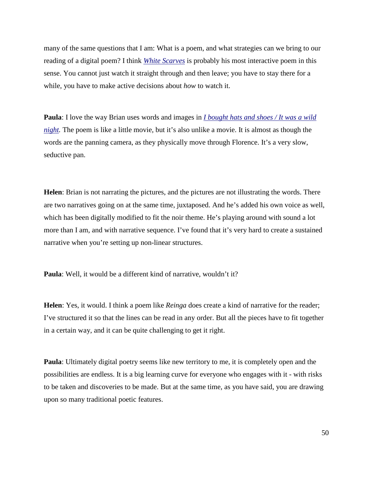many of the same questions that I am: What is a poem, and what strategies can we bring to our reading of a digital poem? I think *[White Scarves](http://www.nzepc.auckland.ac.nz/digital/flaherty/white.html)* is probably his most interactive poem in this sense. You cannot just watch it straight through and then leave; you have to stay there for a while, you have to make active decisions about *how* to watch it.

**Paula**: I love the way Brian uses words and images in *[I bought hats and shoes / It was a wild](http://www.nzepc.auckland.ac.nz/kmko/07/ka_mate07_flaherty.asp)  [night.](http://www.nzepc.auckland.ac.nz/kmko/07/ka_mate07_flaherty.asp)* The poem is like a little movie, but it's also unlike a movie. It is almost as though the words are the panning camera, as they physically move through Florence. It's a very slow, seductive pan.

**Helen**: Brian is not narrating the pictures, and the pictures are not illustrating the words. There are two narratives going on at the same time, juxtaposed. And he's added his own voice as well, which has been digitally modified to fit the noir theme. He's playing around with sound a lot more than I am, and with narrative sequence. I've found that it's very hard to create a sustained narrative when you're setting up non-linear structures.

**Paula**: Well, it would be a different kind of narrative, wouldn't it?

**Helen**: Yes, it would. I think a poem like *Reinga* does create a kind of narrative for the reader; I've structured it so that the lines can be read in any order. But all the pieces have to fit together in a certain way, and it can be quite challenging to get it right.

**Paula**: Ultimately digital poetry seems like new territory to me, it is completely open and the possibilities are endless. It is a big learning curve for everyone who engages with it - with risks to be taken and discoveries to be made. But at the same time, as you have said, you are drawing upon so many traditional poetic features.